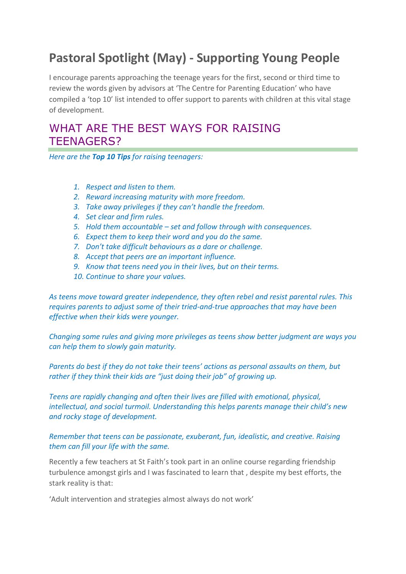## **Pastoral Spotlight (May) - Supporting Young People**

I encourage parents approaching the teenage years for the first, second or third time to review the words given by advisors at 'The Centre for Parenting Education' who have compiled a 'top 10' list intended to offer support to parents with children at this vital stage of development.

## WHAT ARE THE BEST WAYS FOR RAISING TEENAGERS?

*Here are the Top 10 Tips for raising teenagers:*

- *1. Respect and listen to them.*
- *2. Reward increasing maturity with more freedom.*
- *3. Take away privileges if they can't handle the freedom.*
- *4. Set clear and firm rules.*
- *5. Hold them accountable – set and follow through with consequences.*
- *6. Expect them to keep their word and you do the same.*
- *7. Don't take difficult behaviours as a dare or challenge.*
- *8. Accept that peers are an important influence.*
- *9. Know that teens need you in their lives, but on their terms.*
- *10. Continue to share your values.*

*As teens move toward greater independence, they often rebel and resist parental rules. This requires parents to adjust some of their tried-and-true approaches that may have been effective when their kids were younger.*

*Changing some rules and giving more privileges as teens show better judgment are ways you can help them to slowly gain maturity.*

*Parents do best if they do not take their teens' actions as personal assaults on them, but rather if they think their kids are "just doing their job" of growing up.*

*Teens are rapidly changing and often their lives are filled with emotional, physical, intellectual, and social turmoil. Understanding this helps parents manage their child's new and rocky stage of development.*

*Remember that teens can be passionate, exuberant, fun, idealistic, and creative. Raising them can fill your life with the same.*

Recently a few teachers at St Faith's took part in an online course regarding friendship turbulence amongst girls and I was fascinated to learn that , despite my best efforts, the stark reality is that:

'Adult intervention and strategies almost always do not work'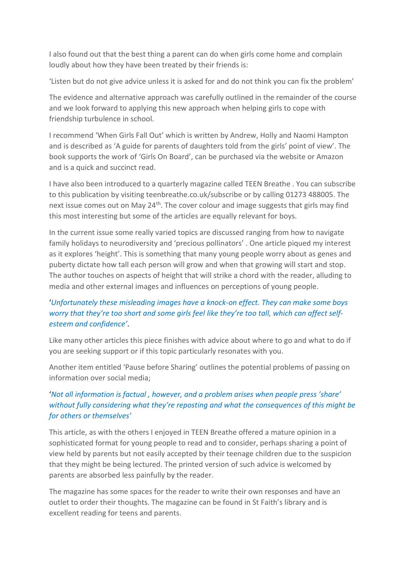I also found out that the best thing a parent can do when girls come home and complain loudly about how they have been treated by their friends is:

'Listen but do not give advice unless it is asked for and do not think you can fix the problem'

The evidence and alternative approach was carefully outlined in the remainder of the course and we look forward to applying this new approach when helping girls to cope with friendship turbulence in school.

I recommend 'When Girls Fall Out' which is written by Andrew, Holly and Naomi Hampton and is described as 'A guide for parents of daughters told from the girls' point of view'. The book supports the work of 'Girls On Board', can be purchased via the website or Amazon and is a quick and succinct read.

I have also been introduced to a quarterly magazine called TEEN Breathe . You can subscribe to this publication by visiting teenbreathe.co.uk/subscribe or by calling 01273 488005. The next issue comes out on May 24<sup>th</sup>. The cover colour and image suggests that girls may find this most interesting but some of the articles are equally relevant for boys.

In the current issue some really varied topics are discussed ranging from how to navigate family holidays to neurodiversity and 'precious pollinators' . One article piqued my interest as it explores 'height'. This is something that many young people worry about as genes and puberty dictate how tall each person will grow and when that growing will start and stop. The author touches on aspects of height that will strike a chord with the reader, alluding to media and other external images and influences on perceptions of young people.

## '*Unfortunately these misleading images have a knock-on effect. They can make some boys worry that they're too short and some girls feel like they're too tall, which can affect selfesteem and confidence'*.

Like many other articles this piece finishes with advice about where to go and what to do if you are seeking support or if this topic particularly resonates with you.

Another item entitled 'Pause before Sharing' outlines the potential problems of passing on information over social media;

## '*Not all information is factual , however, and a problem arises when people press 'share' without fully considering what they're reposting and what the consequences of this might be for others or themselves'*

This article, as with the others I enjoyed in TEEN Breathe offered a mature opinion in a sophisticated format for young people to read and to consider, perhaps sharing a point of view held by parents but not easily accepted by their teenage children due to the suspicion that they might be being lectured. The printed version of such advice is welcomed by parents are absorbed less painfully by the reader.

The magazine has some spaces for the reader to write their own responses and have an outlet to order their thoughts. The magazine can be found in St Faith's library and is excellent reading for teens and parents.